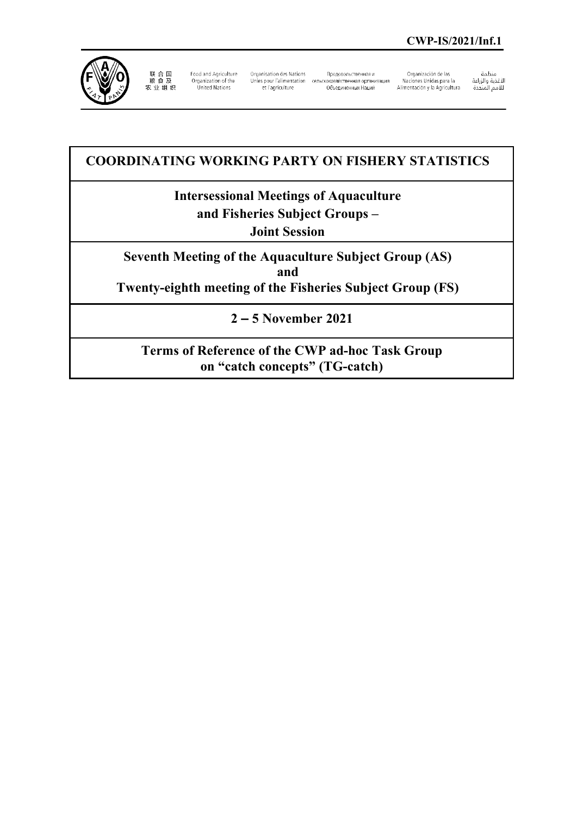

联 合 国<br>粮 食 及<br>农 业 组 织

Food and Agriculture Organization of the<br>United Nations

Organisation des Nations Unies pour l'alimentation сельскохозяйственная организация et l'agriculture

Продовольственная и 

Organización de las Naciones Unidas para la Alimentación y la Agricultura منظمة

سييسه<br>الأغذية والزراعة<br>للأمم المتحدة

# **COORDINATING WORKING PARTY ON FISHERY STATISTICS**

# **Intersessional Meetings of Aquaculture and Fisheries Subject Groups –**

**Joint Session**

**Seventh Meeting of the Aquaculture Subject Group (AS) and Twenty-eighth meeting of the Fisheries Subject Group (FS)**

**2 – 5 November 2021**

**Terms of Reference of the CWP ad-hoc Task Group on "catch concepts" (TG-catch)**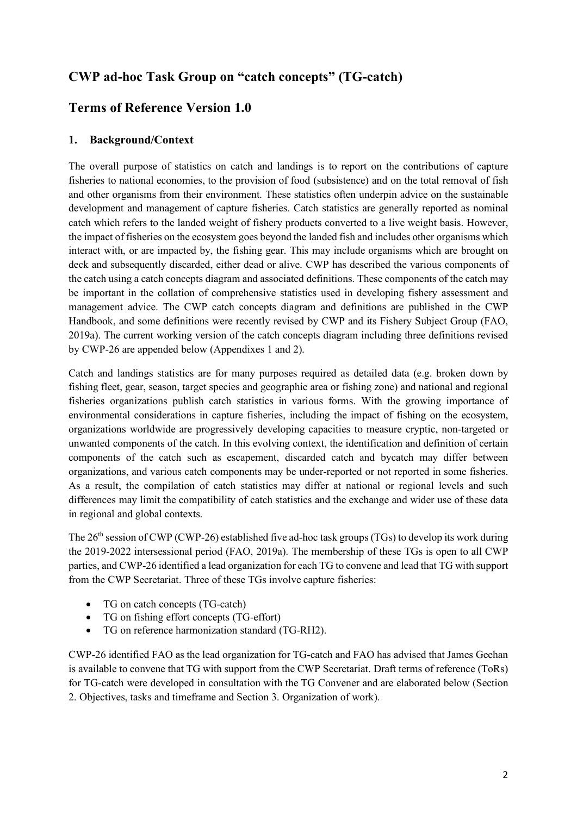# **CWP ad-hoc Task Group on "catch concepts" (TG-catch)**

# **Terms of Reference Version 1.0**

## **1. Background/Context**

The overall purpose of statistics on catch and landings is to report on the contributions of capture fisheries to national economies, to the provision of food (subsistence) and on the total removal of fish and other organisms from their environment. These statistics often underpin advice on the sustainable development and management of capture fisheries. Catch statistics are generally reported as nominal catch which refers to the landed weight of fishery products converted to a live weight basis. However, the impact of fisheries on the ecosystem goes beyond the landed fish and includes other organisms which interact with, or are impacted by, the fishing gear. This may include organisms which are brought on deck and subsequently discarded, either dead or alive. CWP has described the various components of the catch using a catch concepts diagram and associated definitions. These components of the catch may be important in the collation of comprehensive statistics used in developing fishery assessment and management advice. The CWP catch concepts diagram and definitions are published in the CWP Handbook, and some definitions were recently revised by CWP and its Fishery Subject Group (FAO, 2019a). The current working version of the catch concepts diagram including three definitions revised by CWP-26 are appended below (Appendixes 1 and 2).

Catch and landings statistics are for many purposes required as detailed data (e.g. broken down by fishing fleet, gear, season, target species and geographic area or fishing zone) and national and regional fisheries organizations publish catch statistics in various forms. With the growing importance of environmental considerations in capture fisheries, including the impact of fishing on the ecosystem, organizations worldwide are progressively developing capacities to measure cryptic, non-targeted or unwanted components of the catch. In this evolving context, the identification and definition of certain components of the catch such as escapement, discarded catch and bycatch may differ between organizations, and various catch components may be under-reported or not reported in some fisheries. As a result, the compilation of catch statistics may differ at national or regional levels and such differences may limit the compatibility of catch statistics and the exchange and wider use of these data in regional and global contexts.

The 26<sup>th</sup> session of CWP (CWP-26) established five ad-hoc task groups (TGs) to develop its work during the 2019-2022 intersessional period (FAO, 2019a). The membership of these TGs is open to all CWP parties, and CWP-26 identified a lead organization for each TG to convene and lead that TG with support from the CWP Secretariat. Three of these TGs involve capture fisheries:

- TG on catch concepts (TG-catch)
- TG on fishing effort concepts (TG-effort)
- TG on reference harmonization standard (TG-RH2).

CWP-26 identified FAO as the lead organization for TG-catch and FAO has advised that James Geehan is available to convene that TG with support from the CWP Secretariat. Draft terms of reference (ToRs) for TG-catch were developed in consultation with the TG Convener and are elaborated below (Section 2. Objectives, tasks and timeframe and Section 3. Organization of work).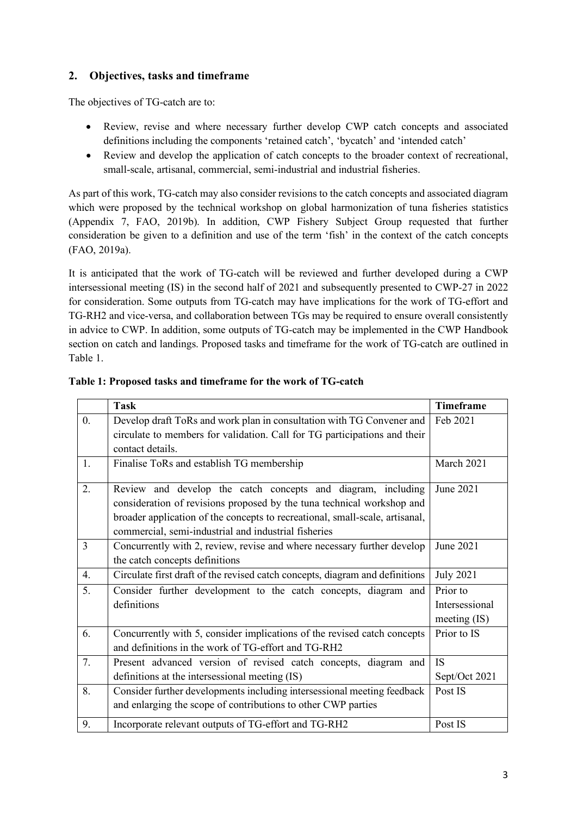## **2. Objectives, tasks and timeframe**

The objectives of TG-catch are to:

- Review, revise and where necessary further develop CWP catch concepts and associated definitions including the components 'retained catch', 'bycatch' and 'intended catch'
- Review and develop the application of catch concepts to the broader context of recreational, small-scale, artisanal, commercial, semi-industrial and industrial fisheries.

As part of this work, TG-catch may also consider revisions to the catch concepts and associated diagram which were proposed by the technical workshop on global harmonization of tuna fisheries statistics (Appendix 7, FAO, 2019b). In addition, CWP Fishery Subject Group requested that further consideration be given to a definition and use of the term 'fish' in the context of the catch concepts (FAO, 2019a).

It is anticipated that the work of TG-catch will be reviewed and further developed during a CWP intersessional meeting (IS) in the second half of 2021 and subsequently presented to CWP-27 in 2022 for consideration. Some outputs from TG-catch may have implications for the work of TG-effort and TG-RH2 and vice-versa, and collaboration between TGs may be required to ensure overall consistently in advice to CWP. In addition, some outputs of TG-catch may be implemented in the CWP Handbook section on catch and landings. Proposed tasks and timeframe for the work of TG-catch are outlined in Table 1.

|                  | <b>Task</b>                                                                                                                                                                                                                                                                    | Timeframe                                                        |
|------------------|--------------------------------------------------------------------------------------------------------------------------------------------------------------------------------------------------------------------------------------------------------------------------------|------------------------------------------------------------------|
| $\overline{0}$ . | Develop draft ToRs and work plan in consultation with TG Convener and                                                                                                                                                                                                          | Feb 2021                                                         |
|                  | circulate to members for validation. Call for TG participations and their                                                                                                                                                                                                      |                                                                  |
|                  | contact details.                                                                                                                                                                                                                                                               |                                                                  |
| 1.               | Finalise ToRs and establish TG membership                                                                                                                                                                                                                                      | March 2021                                                       |
| 2.               | Review and develop the catch concepts and diagram, including<br>consideration of revisions proposed by the tuna technical workshop and<br>broader application of the concepts to recreational, small-scale, artisanal,<br>commercial, semi-industrial and industrial fisheries | June 2021                                                        |
| $\overline{3}$   | Concurrently with 2, review, revise and where necessary further develop<br>the catch concepts definitions                                                                                                                                                                      | June 2021                                                        |
| 4.               | Circulate first draft of the revised catch concepts, diagram and definitions                                                                                                                                                                                                   | <b>July 2021</b>                                                 |
| 5.               | Consider further development to the catch concepts, diagram and<br>definitions                                                                                                                                                                                                 | $\overline{\text{Prior}}$ to<br>Intersessional<br>meeting $(IS)$ |
| 6.               | Concurrently with 5, consider implications of the revised catch concepts<br>and definitions in the work of TG-effort and TG-RH2                                                                                                                                                | Prior to IS                                                      |
| 7.               | Present advanced version of revised catch concepts, diagram and                                                                                                                                                                                                                | <b>IS</b>                                                        |
|                  | definitions at the intersessional meeting (IS)                                                                                                                                                                                                                                 | Sept/Oct 2021                                                    |
| 8.               | Consider further developments including intersessional meeting feedback<br>and enlarging the scope of contributions to other CWP parties                                                                                                                                       | Post IS                                                          |
| 9.               | Incorporate relevant outputs of TG-effort and TG-RH2                                                                                                                                                                                                                           | Post IS                                                          |

#### **Table 1: Proposed tasks and timeframe for the work of TG-catch**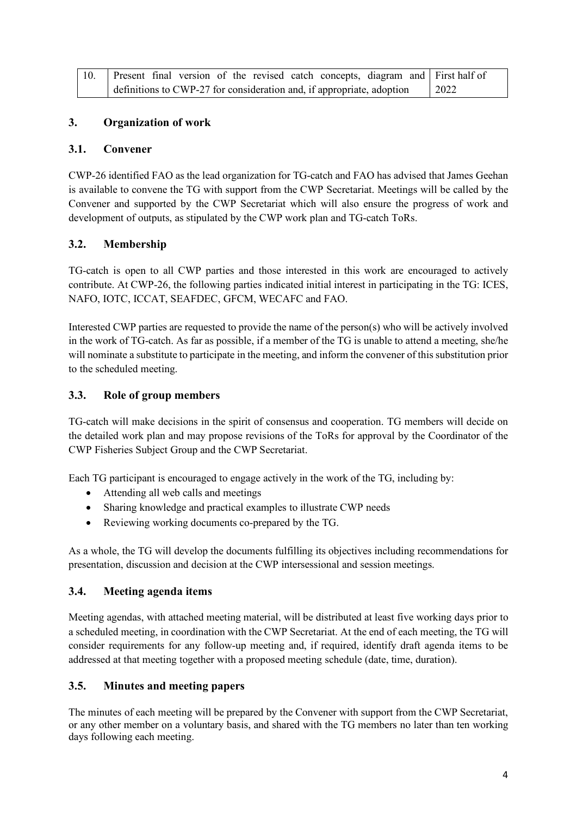|                                                                       |  |  |  |  |  |  |  |  |      | Present final version of the revised catch concepts, diagram and First half of |  |
|-----------------------------------------------------------------------|--|--|--|--|--|--|--|--|------|--------------------------------------------------------------------------------|--|
| definitions to CWP-27 for consideration and, if appropriate, adoption |  |  |  |  |  |  |  |  | 2022 |                                                                                |  |

### **3. Organization of work**

#### **3.1. Convener**

CWP-26 identified FAO as the lead organization for TG-catch and FAO has advised that James Geehan is available to convene the TG with support from the CWP Secretariat. Meetings will be called by the Convener and supported by the CWP Secretariat which will also ensure the progress of work and development of outputs, as stipulated by the CWP work plan and TG-catch ToRs.

## **3.2. Membership**

TG-catch is open to all CWP parties and those interested in this work are encouraged to actively contribute. At CWP-26, the following parties indicated initial interest in participating in the TG: ICES, NAFO, IOTC, ICCAT, SEAFDEC, GFCM, WECAFC and FAO.

Interested CWP parties are requested to provide the name of the person(s) who will be actively involved in the work of TG-catch. As far as possible, if a member of the TG is unable to attend a meeting, she/he will nominate a substitute to participate in the meeting, and inform the convener of this substitution prior to the scheduled meeting.

#### **3.3. Role of group members**

TG-catch will make decisions in the spirit of consensus and cooperation. TG members will decide on the detailed work plan and may propose revisions of the ToRs for approval by the Coordinator of the CWP Fisheries Subject Group and the CWP Secretariat.

Each TG participant is encouraged to engage actively in the work of the TG, including by:

- Attending all web calls and meetings
- Sharing knowledge and practical examples to illustrate CWP needs
- Reviewing working documents co-prepared by the TG.

As a whole, the TG will develop the documents fulfilling its objectives including recommendations for presentation, discussion and decision at the CWP intersessional and session meetings.

#### **3.4. Meeting agenda items**

Meeting agendas, with attached meeting material, will be distributed at least five working days prior to a scheduled meeting, in coordination with the CWP Secretariat. At the end of each meeting, the TG will consider requirements for any follow-up meeting and, if required, identify draft agenda items to be addressed at that meeting together with a proposed meeting schedule (date, time, duration).

#### **3.5. Minutes and meeting papers**

The minutes of each meeting will be prepared by the Convener with support from the CWP Secretariat, or any other member on a voluntary basis, and shared with the TG members no later than ten working days following each meeting.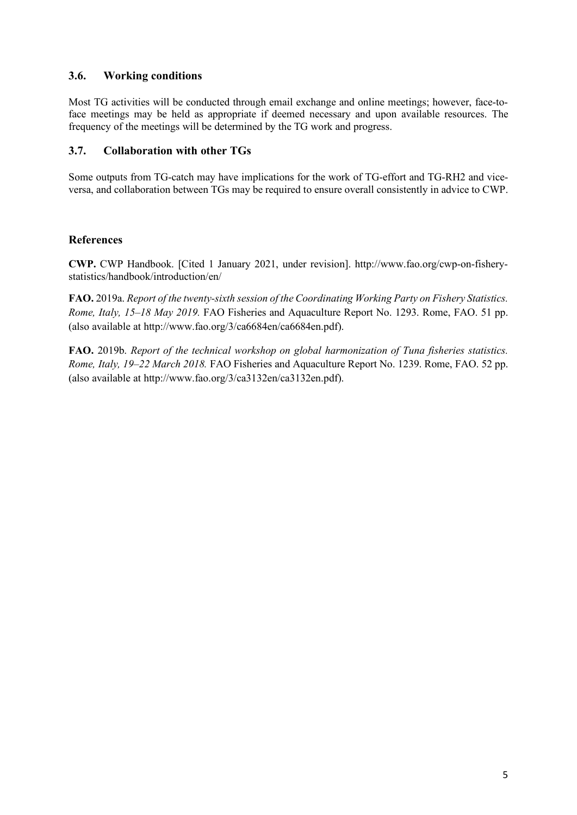#### **3.6. Working conditions**

Most TG activities will be conducted through email exchange and online meetings; however, face-toface meetings may be held as appropriate if deemed necessary and upon available resources. The frequency of the meetings will be determined by the TG work and progress.

#### **3.7. Collaboration with other TGs**

Some outputs from TG-catch may have implications for the work of TG-effort and TG-RH2 and viceversa, and collaboration between TGs may be required to ensure overall consistently in advice to CWP.

#### **References**

**CWP.** CWP Handbook. [Cited 1 January 2021, under revision]. http://www.fao.org/cwp-on-fisherystatistics/handbook/introduction/en/

**FAO.** 2019a. *Report of the twenty-sixth session of the Coordinating Working Party on Fishery Statistics. Rome, Italy, 15–18 May 2019.* FAO Fisheries and Aquaculture Report No. 1293. Rome, FAO. 51 pp. (also available at http://www.fao.org/3/ca6684en/ca6684en.pdf).

**FAO.** 2019b. *Report of the technical workshop on global harmonization of Tuna fisheries statistics. Rome, Italy, 19–22 March 2018.* FAO Fisheries and Aquaculture Report No. 1239. Rome, FAO. 52 pp. (also available at http://www.fao.org/3/ca3132en/ca3132en.pdf).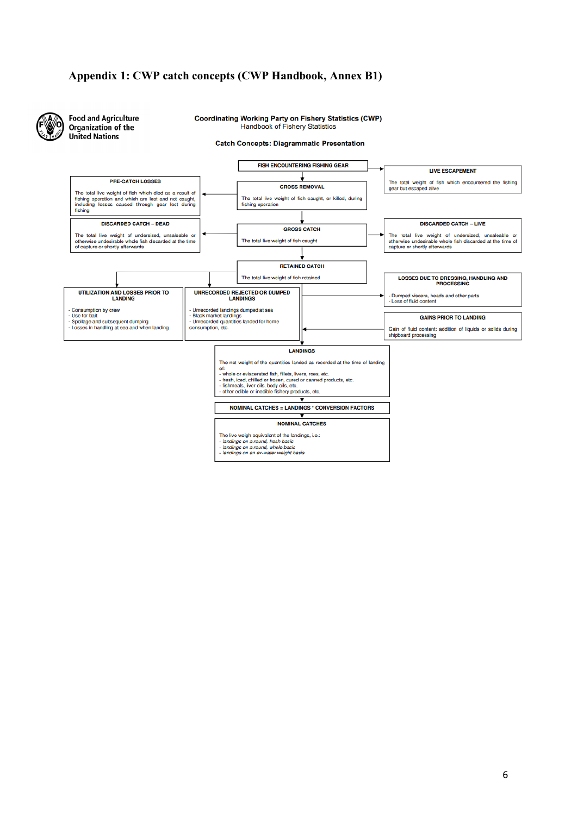#### **Appendix 1: CWP catch concepts (CWP Handbook, Annex B1)**

**Food and Agriculture** Organization of the **United Nations** 

**Coordinating Working Party on Fishery Statistics (CWP) Handbook of Fishery Statistics** 

#### **Catch Concepts: Diagrammatic Presentation**